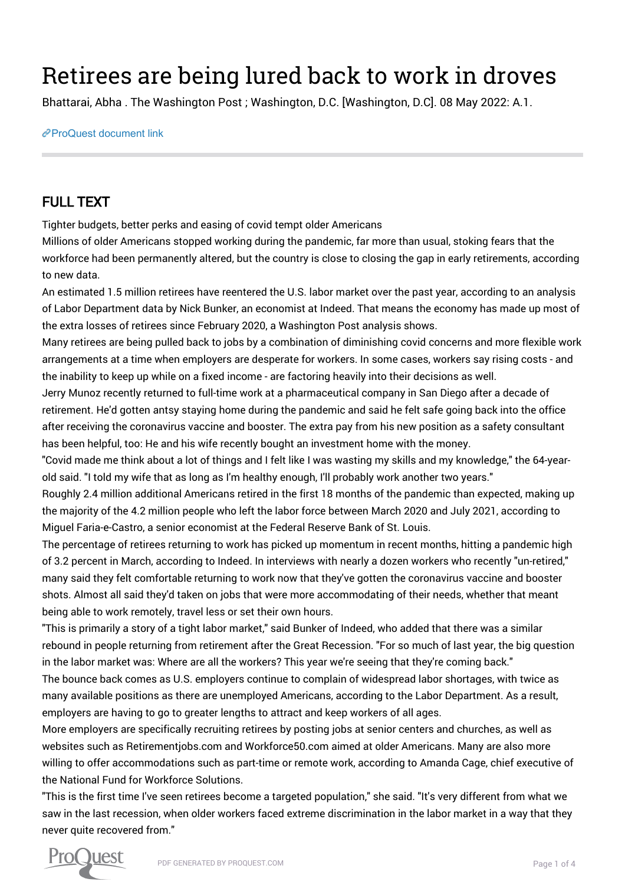## Retirees are being lured back to work in droves

Bhattarai, Abha . The Washington Post ; Washington, D.C. [Washington, D.C]. 08 May 2022: A.1.

[ProQuest document link](https://www.proquest.com/newspapers/retirees-are-being-lured-back-work-droves/docview/2660499226/se-2?accountid=44910)

## FULL TEXT

Tighter budgets, better perks and easing of covid tempt older Americans

Millions of older Americans stopped working during the pandemic, far more than usual, stoking fears that the workforce had been permanently altered, but the country is close to closing the gap in early retirements, according to new data.

An estimated 1.5 million retirees have reentered the U.S. labor market over the past year, according to an analysis of Labor Department data by Nick Bunker, an economist at Indeed. That means the economy has made up most of the extra losses of retirees since February 2020, a Washington Post analysis shows.

Many retirees are being pulled back to jobs by a combination of diminishing covid concerns and more flexible work arrangements at a time when employers are desperate for workers. In some cases, workers say rising costs - and the inability to keep up while on a fixed income - are factoring heavily into their decisions as well.

Jerry Munoz recently returned to full-time work at a pharmaceutical company in San Diego after a decade of retirement. He'd gotten antsy staying home during the pandemic and said he felt safe going back into the office after receiving the coronavirus vaccine and booster. The extra pay from his new position as a safety consultant has been helpful, too: He and his wife recently bought an investment home with the money.

"Covid made me think about a lot of things and I felt like I was wasting my skills and my knowledge," the 64-yearold said. "I told my wife that as long as I'm healthy enough, I'll probably work another two years."

Roughly 2.4 million additional Americans retired in the first 18 months of the pandemic than expected, making up the majority of the 4.2 million people who left the labor force between March 2020 and July 2021, according to Miguel Faria-e-Castro, a senior economist at the Federal Reserve Bank of St. Louis.

The percentage of retirees returning to work has picked up momentum in recent months, hitting a pandemic high of 3.2 percent in March, according to Indeed. In interviews with nearly a dozen workers who recently "un-retired," many said they felt comfortable returning to work now that they've gotten the coronavirus vaccine and booster shots. Almost all said they'd taken on jobs that were more accommodating of their needs, whether that meant being able to work remotely, travel less or set their own hours.

"This is primarily a story of a tight labor market," said Bunker of Indeed, who added that there was a similar rebound in people returning from retirement after the Great Recession. "For so much of last year, the big question in the labor market was: Where are all the workers? This year we're seeing that they're coming back."

The bounce back comes as U.S. employers continue to complain of widespread labor shortages, with twice as many available positions as there are unemployed Americans, according to the Labor Department. As a result, employers are having to go to greater lengths to attract and keep workers of all ages.

More employers are specifically recruiting retirees by posting jobs at senior centers and churches, as well as websites such as Retirementjobs.com and Workforce50.com aimed at older Americans. Many are also more willing to offer accommodations such as part-time or remote work, according to Amanda Cage, chief executive of the National Fund for Workforce Solutions.

"This is the first time I've seen retirees become a targeted population," she said. "It's very different from what we saw in the last recession, when older workers faced extreme discrimination in the labor market in a way that they never quite recovered from."

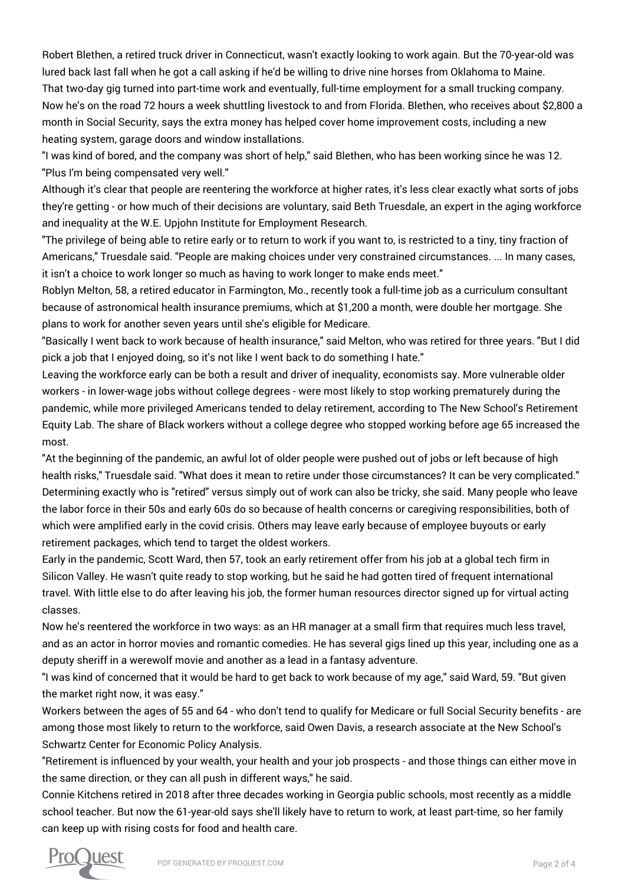Robert Blethen, a retired truck driver in Connecticut, wasn't exactly looking to work again. But the 70-year-old was lured back last fall when he got a call asking if he'd be willing to drive nine horses from Oklahoma to Maine. That two-day gig turned into part-time work and eventually, full-time employment for a small trucking company. Now he's on the road 72 hours a week shuttling livestock to and from Florida. Blethen, who receives about \$2,800 a month in Social Security, says the extra money has helped cover home improvement costs, including a new heating system, garage doors and window installations.

"I was kind of bored, and the company was short of help," said Blethen, who has been working since he was 12. "Plus I'm being compensated very well."

Although it's clear that people are reentering the workforce at higher rates, it's less clear exactly what sorts of jobs they're getting - or how much of their decisions are voluntary, said Beth Truesdale, an expert in the aging workforce and inequality at the W.E. Upjohn Institute for Employment Research.

"The privilege of being able to retire early or to return to work if you want to, is restricted to a tiny, tiny fraction of Americans," Truesdale said. "People are making choices under very constrained circumstances. ... In many cases, it isn't a choice to work longer so much as having to work longer to make ends meet."

Roblyn Melton, 58, a retired educator in Farmington, Mo., recently took a full-time job as a curriculum consultant because of astronomical health insurance premiums, which at \$1,200 a month, were double her mortgage. She plans to work for another seven years until she's eligible for Medicare.

"Basically I went back to work because of health insurance," said Melton, who was retired for three years. "But I did pick a job that I enjoyed doing, so it's not like I went back to do something I hate."

Leaving the workforce early can be both a result and driver of inequality, economists say. More vulnerable older workers - in lower-wage jobs without college degrees - were most likely to stop working prematurely during the pandemic, while more privileged Americans tended to delay retirement, according to The New School's Retirement Equity Lab. The share of Black workers without a college degree who stopped working before age 65 increased the most.

"At the beginning of the pandemic, an awful lot of older people were pushed out of jobs or left because of high health risks," Truesdale said. "What does it mean to retire under those circumstances? It can be very complicated." Determining exactly who is "retired" versus simply out of work can also be tricky, she said. Many people who leave the labor force in their 50s and early 60s do so because of health concerns or caregiving responsibilities, both of which were amplified early in the covid crisis. Others may leave early because of employee buyouts or early retirement packages, which tend to target the oldest workers.

Early in the pandemic, Scott Ward, then 57, took an early retirement offer from his job at a global tech firm in Silicon Valley. He wasn't quite ready to stop working, but he said he had gotten tired of frequent international travel. With little else to do after leaving his job, the former human resources director signed up for virtual acting classes.

Now he's reentered the workforce in two ways: as an HR manager at a small firm that requires much less travel, and as an actor in horror movies and romantic comedies. He has several gigs lined up this year, including one as a deputy sheriff in a werewolf movie and another as a lead in a fantasy adventure.

"I was kind of concerned that it would be hard to get back to work because of my age," said Ward, 59. "But given the market right now, it was easy."

Workers between the ages of 55 and 64 - who don't tend to qualify for Medicare or full Social Security benefits - are among those most likely to return to the workforce, said Owen Davis, a research associate at the New School's Schwartz Center for Economic Policy Analysis.

"Retirement is influenced by your wealth, your health and your job prospects - and those things can either move in the same direction, or they can all push in different ways," he said.

Connie Kitchens retired in 2018 after three decades working in Georgia public schools, most recently as a middle school teacher. But now the 61-year-old says she'll likely have to return to work, at least part-time, so her family can keep up with rising costs for food and health care.

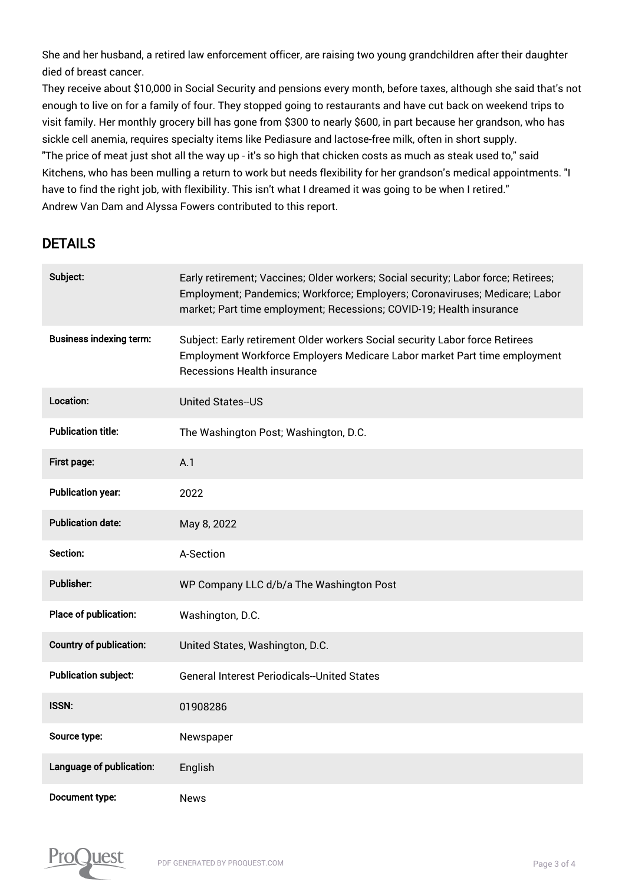She and her husband, a retired law enforcement officer, are raising two young grandchildren after their daughter died of breast cancer.

They receive about \$10,000 in Social Security and pensions every month, before taxes, although she said that's not enough to live on for a family of four. They stopped going to restaurants and have cut back on weekend trips to visit family. Her monthly grocery bill has gone from \$300 to nearly \$600, in part because her grandson, who has sickle cell anemia, requires specialty items like Pediasure and lactose-free milk, often in short supply. "The price of meat just shot all the way up - it's so high that chicken costs as much as steak used to," said Kitchens, who has been mulling a return to work but needs flexibility for her grandson's medical appointments. "I have to find the right job, with flexibility. This isn't what I dreamed it was going to be when I retired." Andrew Van Dam and Alyssa Fowers contributed to this report.

## DETAILS

| Subject:                       | Early retirement; Vaccines; Older workers; Social security; Labor force; Retirees;<br>Employment; Pandemics; Workforce; Employers; Coronaviruses; Medicare; Labor<br>market; Part time employment; Recessions; COVID-19; Health insurance |
|--------------------------------|-------------------------------------------------------------------------------------------------------------------------------------------------------------------------------------------------------------------------------------------|
| <b>Business indexing term:</b> | Subject: Early retirement Older workers Social security Labor force Retirees<br>Employment Workforce Employers Medicare Labor market Part time employment<br><b>Recessions Health insurance</b>                                           |
| Location:                      | <b>United States-US</b>                                                                                                                                                                                                                   |
| <b>Publication title:</b>      | The Washington Post; Washington, D.C.                                                                                                                                                                                                     |
| First page:                    | A.1                                                                                                                                                                                                                                       |
| <b>Publication year:</b>       | 2022                                                                                                                                                                                                                                      |
| <b>Publication date:</b>       | May 8, 2022                                                                                                                                                                                                                               |
| Section:                       | A-Section                                                                                                                                                                                                                                 |
| <b>Publisher:</b>              | WP Company LLC d/b/a The Washington Post                                                                                                                                                                                                  |
| Place of publication:          | Washington, D.C.                                                                                                                                                                                                                          |
| <b>Country of publication:</b> | United States, Washington, D.C.                                                                                                                                                                                                           |
| <b>Publication subject:</b>    | <b>General Interest Periodicals--United States</b>                                                                                                                                                                                        |
| <b>ISSN:</b>                   | 01908286                                                                                                                                                                                                                                  |
| Source type:                   | Newspaper                                                                                                                                                                                                                                 |
| Language of publication:       | English                                                                                                                                                                                                                                   |
| Document type:                 | News                                                                                                                                                                                                                                      |